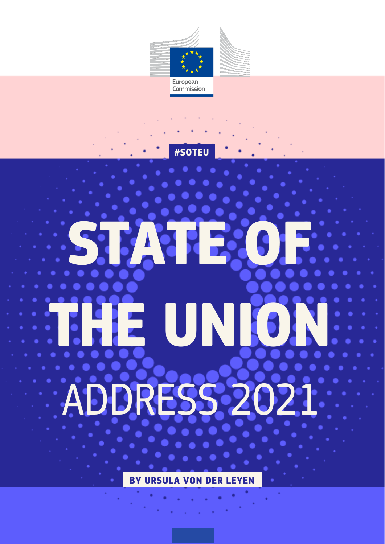



**#SOTEU**

# ADDRESS 2021 **STATE OF THE UNION**

**BY URSULA VON DER LEYEN**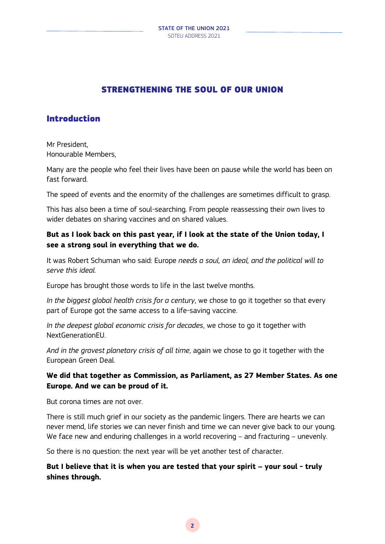# STRENGTHENING THE SOUL OF OUR UNION

# Introduction

Mr President, Honourable Members,

Many are the people who feel their lives have been on pause while the world has been on fast forward.

The speed of events and the enormity of the challenges are sometimes difficult to grasp.

This has also been a time of soul-searching. From people reassessing their own lives to wider debates on sharing vaccines and on shared values.

## **But as I look back on this past year, if I look at the state of the Union today, I see a strong soul in everything that we do.**

It was Robert Schuman who said: Europe *needs a soul, an ideal, and the political will to serve this ideal.*

Europe has brought those words to life in the last twelve months.

*In the biggest global health crisis for a century*, we chose to go it together so that every part of Europe got the same access to a life-saving vaccine.

*In the deepest global economic crisis for decades*, we chose to go it together with NextGenerationEU.

*And in the gravest planetary crisis of all time*, again we chose to go it together with the European Green Deal.

## **We did that together as Commission, as Parliament, as 27 Member States. As one Europe***.* **And we can be proud of it.**

But corona times are not over.

There is still much grief in our society as the pandemic lingers. There are hearts we can never mend, life stories we can never finish and time we can never give back to our young. We face new and enduring challenges in a world recovering – and fracturing – unevenly.

So there is no question: the next year will be yet another test of character.

**But I believe that it is when you are tested that your spirit – your soul - truly shines through.**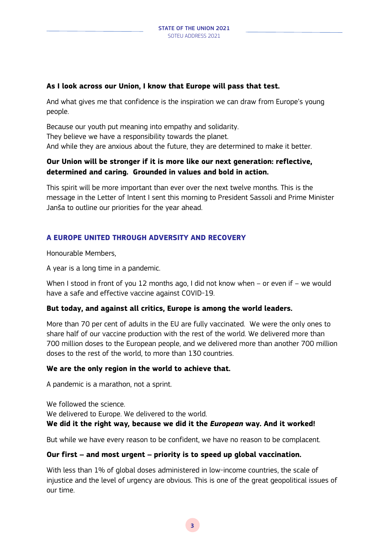## **As I look across our Union, I know that Europe will pass that test.**

And what gives me that confidence is the inspiration we can draw from Europe's young people.

Because our youth put meaning into empathy and solidarity. They believe we have a responsibility towards the planet. And while they are anxious about the future, they are determined to make it better.

## **Our Union will be stronger if it is more like our next generation: reflective, determined and caring. Grounded in values and bold in action.**

This spirit will be more important than ever over the next twelve months. This is the message in the Letter of Intent I sent this morning to President Sassoli and Prime Minister Janša to outline our priorities for the year ahead.

## **A EUROPE UNITED THROUGH ADVERSITY AND RECOVERY**

Honourable Members,

A year is a long time in a pandemic.

When I stood in front of you 12 months ago, I did not know when - or even if - we would have a safe and effective vaccine against COVID-19.

## **But today, and against all critics, Europe is among the world leaders.**

More than 70 per cent of adults in the EU are fully vaccinated. We were the only ones to share half of our vaccine production with the rest of the world. We delivered more than 700 million doses to the European people, and we delivered more than another 700 million doses to the rest of the world, to more than 130 countries.

## **We are the only region in the world to achieve that.**

A pandemic is a marathon, not a sprint.

We followed the science.

We delivered to Europe. We delivered to the world.

## **We did it the right way***,* **because we did it the** *European* **way***.* **And it worked!**

But while we have every reason to be confident, we have no reason to be complacent.

## **Our first – and most urgent – priority is to speed up global vaccination.**

With less than 1% of global doses administered in low-income countries, the scale of injustice and the level of urgency are obvious. This is one of the great geopolitical issues of our time.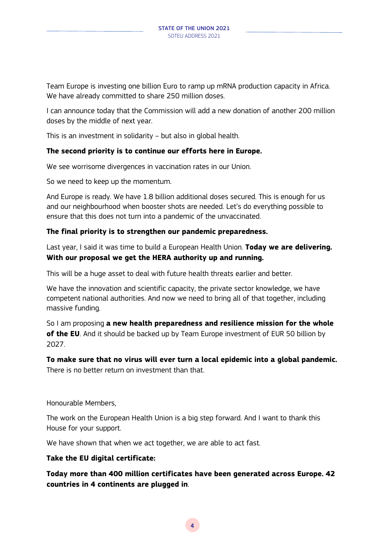Team Europe is investing one billion Euro to ramp up mRNA production capacity in Africa. We have already committed to share 250 million doses.

I can announce today that the Commission will add a new donation of another 200 million doses by the middle of next year.

This is an investment in solidarity – but also in global health.

#### **The second priority is to continue our efforts here in Europe.**

We see worrisome divergences in vaccination rates in our Union.

So we need to keep up the momentum.

And Europe is ready. We have 1.8 billion additional doses secured. This is enough for us and our neighbourhood when booster shots are needed. Let's do everything possible to ensure that this does not turn into a pandemic of the unvaccinated.

#### **The final priority is to strengthen our pandemic preparedness.**

Last year, I said it was time to build a European Health Union. **Today we are delivering. With our proposal we get the HERA authority up and running.** 

This will be a huge asset to deal with future health threats earlier and better.

We have the innovation and scientific capacity, the private sector knowledge, we have competent national authorities. And now we need to bring all of that together, including massive funding.

So I am proposing **a new health preparedness and resilience mission for the whole of the EU**. And it should be backed up by Team Europe investment of EUR 50 billion by 2027.

**To make sure that no virus will ever turn a local epidemic into a global pandemic.**  There is no better return on investment than that.

Honourable Members,

The work on the European Health Union is a big step forward. And I want to thank this House for your support.

We have shown that when we act together, we are able to act fast.

#### **Take the EU digital certificate:**

**Today more than 400 million certificates have been generated across Europe. 42 countries in 4 continents are plugged in**.

**4**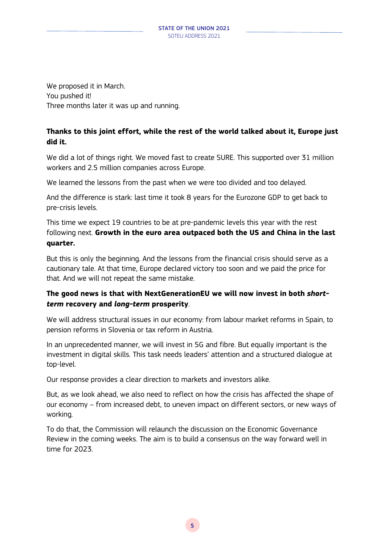We proposed it in March. You pushed it! Three months later it was up and running.

## **Thanks to this joint effort, while the rest of the world talked about it, Europe just did it.**

We did a lot of things right. We moved fast to create SURE. This supported over 31 million workers and 2.5 million companies across Europe.

We learned the lessons from the past when we were too divided and too delayed.

And the difference is stark: last time it took 8 years for the Eurozone GDP to get back to pre-crisis levels.

This time we expect 19 countries to be at pre-pandemic levels this year with the rest following next. **Growth in the euro area outpaced both the US and China in the last quarter.**

But this is only the beginning. And the lessons from the financial crisis should serve as a cautionary tale. At that time, Europe declared victory too soon and we paid the price for that. And we will not repeat the same mistake.

## **The good news is that with NextGenerationEU we will now invest in both** *shortterm* **recovery and** *long-term* **prosperity**.

We will address structural issues in our economy: from labour market reforms in Spain, to pension reforms in Slovenia or tax reform in Austria.

In an unprecedented manner, we will invest in 5G and fibre. But equally important is the investment in digital skills. This task needs leaders' attention and a structured dialogue at top-level.

Our response provides a clear direction to markets and investors alike.

But, as we look ahead, we also need to reflect on how the crisis has affected the shape of our economy – from increased debt, to uneven impact on different sectors, or new ways of working.

To do that, the Commission will relaunch the discussion on the Economic Governance Review in the coming weeks. The aim is to build a consensus on the way forward well in time for 2023.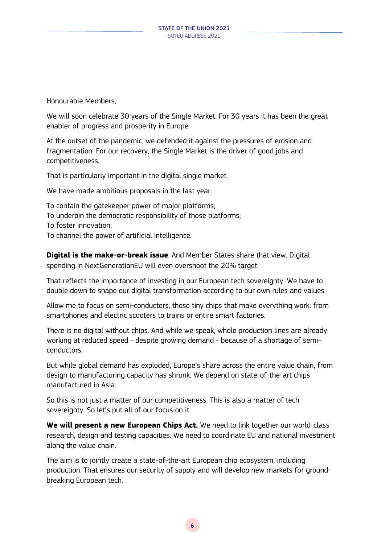Honourable Members,

We will soon celebrate 30 years of the Single Market. For 30 years it has been the great enabler of progress and prosperity in Europe.

At the outset of the pandemic, we defended it against the pressures of erosion and fragmentation. For our recovery, the Single Market is the driver of good jobs and competitiveness.

That is particularly important in the digital single market.

We have made ambitious proposals in the last year.

To contain the gatekeeper power of major platforms; To underpin the democratic responsibility of those platforms; To foster innovation; To channel the power of artificial intelligence.

**Digital is the make-or-break issue**. And Member States share that view. Digital spending in NextGenerationEU will even overshoot the 20% target.

That reflects the importance of investing in our European tech sovereignty. We have to double down to shape our digital transformation according to our own rules and values.

Allow me to focus on semi-conductors, those tiny chips that make everything work: from smartphones and electric scooters to trains or entire smart factories.

There is no digital without chips. And while we speak, whole production lines are already working at reduced speed - despite growing demand - because of a shortage of semiconductors.

But while global demand has exploded, Europe's share across the entire value chain, from design to manufacturing capacity has shrunk. We depend on state-of-the-art chips manufactured in Asia.

So this is not just a matter of our competitiveness. This is also a matter of tech sovereignty. So let's put all of our focus on it.

**We will present a new European Chips Act.** We need to link together our world-class research, design and testing capacities. We need to coordinate EU and national investment along the value chain.

The aim is to jointly create a state-of-the-art European chip ecosystem, including production. That ensures our security of supply and will develop new markets for groundbreaking European tech.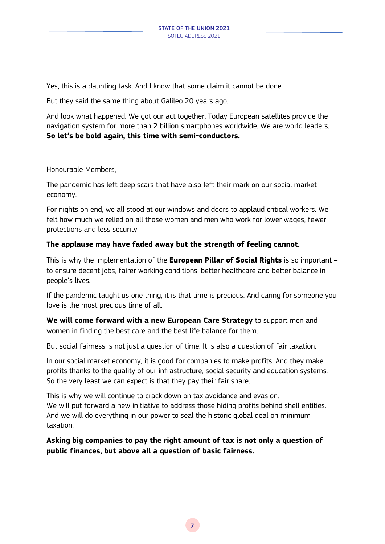Yes, this is a daunting task. And I know that some claim it cannot be done.

But they said the same thing about Galileo 20 years ago.

And look what happened. We got our act together. Today European satellites provide the navigation system for more than 2 billion smartphones worldwide. We are world leaders. **So let's be bold again, this time with semi-conductors.**

Honourable Members,

The pandemic has left deep scars that have also left their mark on our social market economy.

For nights on end, we all stood at our windows and doors to applaud critical workers. We felt how much we relied on all those women and men who work for lower wages, fewer protections and less security.

## **The applause may have faded away but the strength of feeling cannot.**

This is why the implementation of the **European Pillar of Social Rights** is so important – to ensure decent jobs, fairer working conditions, better healthcare and better balance in people's lives.

If the pandemic taught us one thing, it is that time is precious. And caring for someone you love is the most precious time of all.

**We will come forward with a new European Care Strategy** to support men and women in finding the best care and the best life balance for them.

But social fairness is not just a question of time. It is also a question of fair taxation.

In our social market economy, it is good for companies to make profits. And they make profits thanks to the quality of our infrastructure, social security and education systems. So the very least we can expect is that they pay their fair share.

This is why we will continue to crack down on tax avoidance and evasion. We will put forward a new initiative to address those hiding profits behind shell entities. And we will do everything in our power to seal the historic global deal on minimum taxation.

**Asking big companies to pay the right amount of tax is not only a question of public finances, but above all a question of basic fairness.**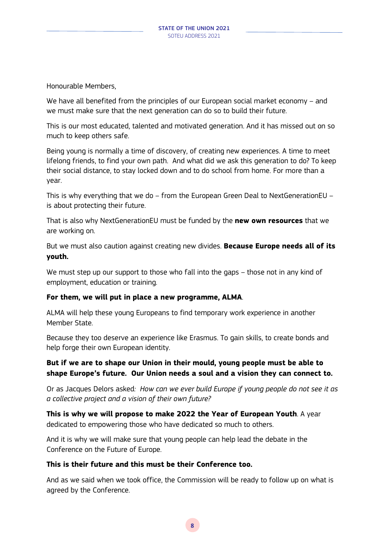Honourable Members,

We have all benefited from the principles of our European social market economy – and we must make sure that the next generation can do so to build their future.

This is our most educated, talented and motivated generation. And it has missed out on so much to keep others safe.

Being young is normally a time of discovery, of creating new experiences. A time to meet lifelong friends, to find your own path. And what did we ask this generation to do? To keep their social distance, to stay locked down and to do school from home. For more than a year.

This is why everything that we do – from the European Green Deal to NextGenerationEU – is about protecting their future.

That is also why NextGenerationEU must be funded by the **new own resources** that we are working on.

But we must also caution against creating new divides. **Because Europe needs all of its youth.** 

We must step up our support to those who fall into the gaps – those not in any kind of employment, education or training.

## **For them, we will put in place a new programme, ALMA**.

ALMA will help these young Europeans to find temporary work experience in another Member State.

Because they too deserve an experience like Erasmus. To gain skills, to create bonds and help forge their own European identity.

## **But if we are to shape our Union in their mould, young people must be able to shape Europe's future. Our Union needs a soul and a vision they can connect to.**

Or as Jacques Delors asked*: How can we ever build Europe if young people do not see it as a collective project and a vision of their own future?*

**This is why we will propose to make 2022 the Year of European Youth**. A year dedicated to empowering those who have dedicated so much to others.

And it is why we will make sure that young people can help lead the debate in the Conference on the Future of Europe.

#### **This is their future and this must be their Conference too.**

And as we said when we took office, the Commission will be ready to follow up on what is agreed by the Conference.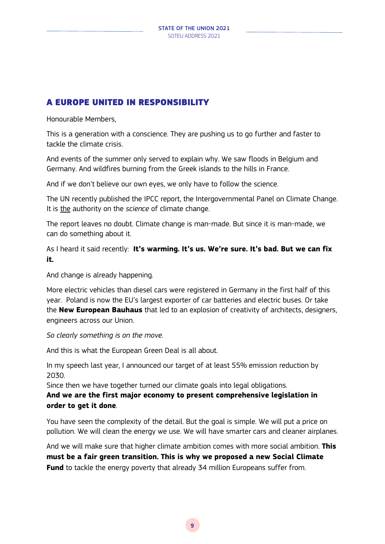## A EUROPE UNITED IN RESPONSIBILITY

Honourable Members,

This is a generation with a conscience. They are pushing us to go further and faster to tackle the climate crisis.

And events of the summer only served to explain why. We saw floods in Belgium and Germany. And wildfires burning from the Greek islands to the hills in France.

And if we don't believe our own eyes, we only have to follow the science.

The UN recently published the IPCC report, the Intergovernmental Panel on Climate Change. It is the authority on the *science* of climate change.

The report leaves no doubt. Climate change is man-made. But since it is man-made, we can do something about it.

As I heard it said recently: **It's warming. It's us. We're sure. It's bad. But we can fix it.**

And change is already happening.

More electric vehicles than diesel cars were registered in Germany in the first half of this year. Poland is now the EU's largest exporter of car batteries and electric buses. Or take the **New European Bauhaus** that led to an explosion of creativity of architects, designers, engineers across our Union.

*So clearly something is on the move.*

And this is what the European Green Deal is all about.

In my speech last year, I announced our target of at least 55% emission reduction by 2030.

Since then we have together turned our climate goals into legal obligations.

## **And we are the first major economy to present comprehensive legislation in order to get it done**.

You have seen the complexity of the detail. But the goal is simple. We will put a price on pollution. We will clean the energy we use. We will have smarter cars and cleaner airplanes.

And we will make sure that higher climate ambition comes with more social ambition. **This must be a fair green transition. This is why we proposed a new Social Climate Fund** to tackle the energy poverty that already 34 million Europeans suffer from.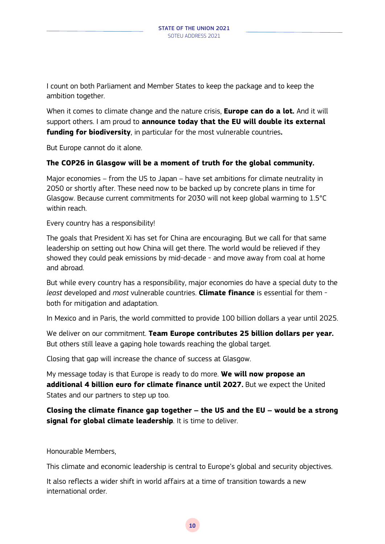I count on both Parliament and Member States to keep the package and to keep the ambition together.

When it comes to climate change and the nature crisis, **Europe can do a lot.** And it will support others. I am proud to **announce today that the EU will double its external funding for biodiversity**, in particular for the most vulnerable countries**.** 

But Europe cannot do it alone.

#### **The COP26 in Glasgow will be a moment of truth for the global community.**

Major economies – from the US to Japan – have set ambitions for climate neutrality in 2050 or shortly after. These need now to be backed up by concrete plans in time for Glasgow. Because current commitments for 2030 will not keep global warming to 1.5°C within reach.

Every country has a responsibility!

The goals that President Xi has set for China are encouraging. But we call for that same leadership on setting out how China will get there. The world would be relieved if they showed they could peak emissions by mid-decade - and move away from coal at home and abroad.

But while every country has a responsibility, major economies do have a special duty to the *least* developed and *most* vulnerable countries. **Climate finance** is essential for them both for mitigation and adaptation.

In Mexico and in Paris, the world committed to provide 100 billion dollars a year until 2025.

We deliver on our commitment. **Team Europe contributes 25 billion dollars per year.**  But others still leave a gaping hole towards reaching the global target.

Closing that gap will increase the chance of success at Glasgow.

My message today is that Europe is ready to do more. **We will now propose an additional 4 billion euro for climate finance until 2027.** But we expect the United States and our partners to step up too.

**Closing the climate finance gap together – the US and the EU – would be a strong signal for global climate leadership**. It is time to deliver.

Honourable Members,

This climate and economic leadership is central to Europe's global and security objectives.

It also reflects a wider shift in world affairs at a time of transition towards a new international order.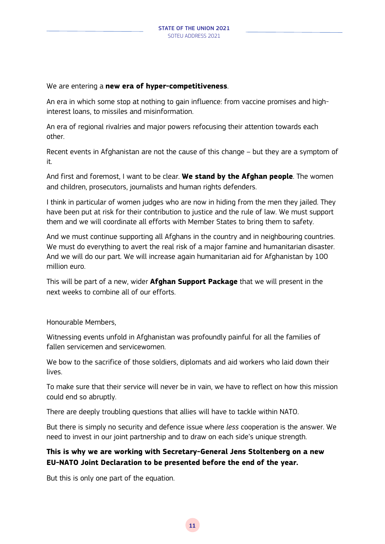We are entering a **new era of hyper-competitiveness**.

An era in which some stop at nothing to gain influence: from vaccine promises and highinterest loans, to missiles and misinformation.

An era of regional rivalries and major powers refocusing their attention towards each other.

Recent events in Afghanistan are not the cause of this change – but they are a symptom of it.

And first and foremost, I want to be clear. **We stand by the Afghan people**. The women and children, prosecutors, journalists and human rights defenders.

I think in particular of women judges who are now in hiding from the men they jailed. They have been put at risk for their contribution to justice and the rule of law. We must support them and we will coordinate all efforts with Member States to bring them to safety.

And we must continue supporting all Afghans in the country and in neighbouring countries. We must do everything to avert the real risk of a major famine and humanitarian disaster. And we will do our part. We will increase again humanitarian aid for Afghanistan by 100 million euro.

This will be part of a new, wider **Afghan Support Package** that we will present in the next weeks to combine all of our efforts.

Honourable Members,

Witnessing events unfold in Afghanistan was profoundly painful for all the families of fallen servicemen and servicewomen.

We bow to the sacrifice of those soldiers, diplomats and aid workers who laid down their lives.

To make sure that their service will never be in vain, we have to reflect on how this mission could end so abruptly.

There are deeply troubling questions that allies will have to tackle within NATO.

But there is simply no security and defence issue where *less* cooperation is the answer. We need to invest in our joint partnership and to draw on each side's unique strength.

## **This is why we are working with Secretary-General Jens Stoltenberg on a new EU-NATO Joint Declaration to be presented before the end of the year.**

But this is only one part of the equation.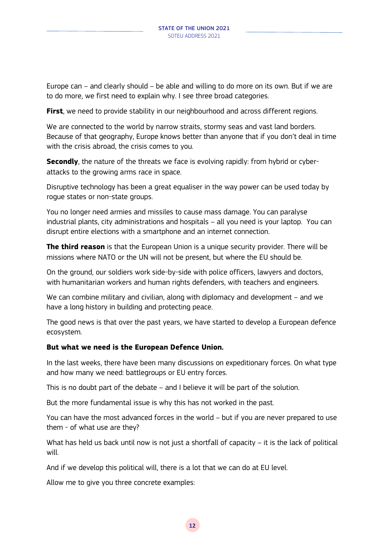Europe can – and clearly should – be able and willing to do more on its own. But if we are to do more, we first need to explain why. I see three broad categories.

**First**, we need to provide stability in our neighbourhood and across different regions.

We are connected to the world by narrow straits, stormy seas and vast land borders. Because of that geography, Europe knows better than anyone that if you don't deal in time with the crisis abroad, the crisis comes to you.

**Secondly**, the nature of the threats we face is evolving rapidly: from hybrid or cyberattacks to the growing arms race in space.

Disruptive technology has been a great equaliser in the way power can be used today by rogue states or non-state groups.

You no longer need armies and missiles to cause mass damage. You can paralyse industrial plants, city administrations and hospitals – all you need is your laptop. You can disrupt entire elections with a smartphone and an internet connection.

**The third reason** is that the European Union is a unique security provider. There will be missions where NATO or the UN will not be present, but where the EU should be.

On the ground, our soldiers work side-by-side with police officers, lawyers and doctors, with humanitarian workers and human rights defenders, with teachers and engineers.

We can combine military and civilian, along with diplomacy and development – and we have a long history in building and protecting peace.

The good news is that over the past years, we have started to develop a European defence ecosystem.

## **But what we need is the European Defence Union.**

In the last weeks, there have been many discussions on expeditionary forces. On what type and how many we need: battlegroups or EU entry forces.

This is no doubt part of the debate – and I believe it will be part of the solution.

But the more fundamental issue is why this has not worked in the past.

You can have the most advanced forces in the world – but if you are never prepared to use them - of what use are they?

What has held us back until now is not just a shortfall of capacity – it is the lack of political will.

And if we develop this political will, there is a lot that we can do at EU level.

Allow me to give you three concrete examples: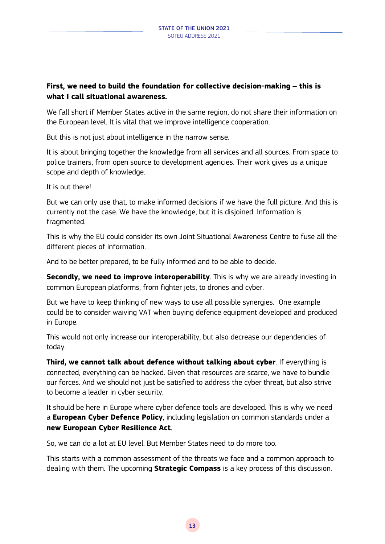## **First, we need to build the foundation for collective decision-making – this is what I call situational awareness.**

We fall short if Member States active in the same region, do not share their information on the European level. It is vital that we improve intelligence cooperation.

But this is not just about intelligence in the narrow sense.

It is about bringing together the knowledge from all services and all sources. From space to police trainers, from open source to development agencies. Their work gives us a unique scope and depth of knowledge.

It is out there!

But we can only use that, to make informed decisions if we have the full picture. And this is currently not the case. We have the knowledge, but it is disjoined. Information is fragmented.

This is why the EU could consider its own Joint Situational Awareness Centre to fuse all the different pieces of information.

And to be better prepared, to be fully informed and to be able to decide.

**Secondly, we need to improve interoperability**. This is why we are already investing in common European platforms, from fighter jets, to drones and cyber.

But we have to keep thinking of new ways to use all possible synergies. One example could be to consider waiving VAT when buying defence equipment developed and produced in Europe.

This would not only increase our interoperability, but also decrease our dependencies of today.

**Third, we cannot talk about defence without talking about cyber**. If everything is connected, everything can be hacked. Given that resources are scarce, we have to bundle our forces. And we should not just be satisfied to address the cyber threat, but also strive to become a leader in cyber security.

It should be here in Europe where cyber defence tools are developed. This is why we need a **European Cyber Defence Policy**, including legislation on common standards under a **new European Cyber Resilience Act**.

So, we can do a lot at EU level. But Member States need to do more too.

This starts with a common assessment of the threats we face and a common approach to dealing with them. The upcoming **Strategic Compass** is a key process of this discussion.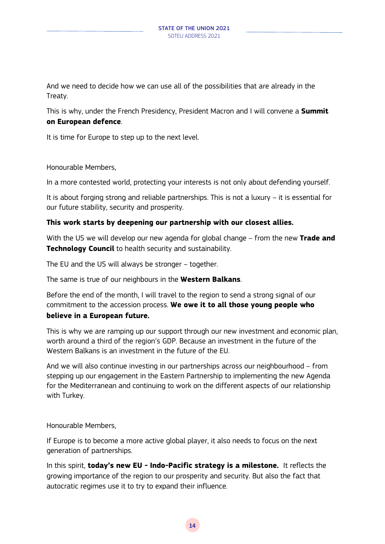And we need to decide how we can use all of the possibilities that are already in the Treaty.

This is why, under the French Presidency, President Macron and I will convene a **Summit on European defence**.

It is time for Europe to step up to the next level.

Honourable Members,

In a more contested world, protecting your interests is not only about defending yourself.

It is about forging strong and reliable partnerships. This is not a luxury – it is essential for our future stability, security and prosperity.

## **This work starts by deepening our partnership with our closest allies.**

With the US we will develop our new agenda for global change – from the new **Trade and Technology Council** to health security and sustainability.

The EU and the US will always be stronger – together.

The same is true of our neighbours in the **Western Balkans**.

Before the end of the month, I will travel to the region to send a strong signal of our commitment to the accession process. **We owe it to all those young people who believe in a European future.**

This is why we are ramping up our support through our new investment and economic plan, worth around a third of the region's GDP. Because an investment in the future of the Western Balkans is an investment in the future of the EU.

And we will also continue investing in our partnerships across our neighbourhood – from stepping up our engagement in the Eastern Partnership to implementing the new Agenda for the Mediterranean and continuing to work on the different aspects of our relationship with Turkey.

Honourable Members,

If Europe is to become a more active global player, it also needs to focus on the next generation of partnerships.

In this spirit, **today's new EU - Indo-Pacific strategy is a milestone.** It reflects the growing importance of the region to our prosperity and security. But also the fact that autocratic regimes use it to try to expand their influence.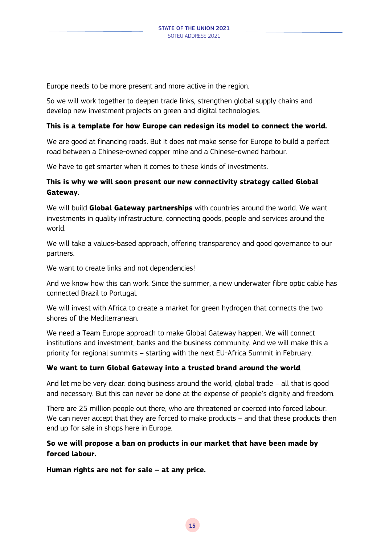Europe needs to be more present and more active in the region.

So we will work together to deepen trade links, strengthen global supply chains and develop new investment projects on green and digital technologies.

#### **This is a template for how Europe can redesign its model to connect the world.**

We are good at financing roads. But it does not make sense for Europe to build a perfect road between a Chinese-owned copper mine and a Chinese-owned harbour.

We have to get smarter when it comes to these kinds of investments.

## **This is why we will soon present our new connectivity strategy called Global Gateway.**

We will build **Global Gateway partnerships** with countries around the world. We want investments in quality infrastructure, connecting goods, people and services around the world.

We will take a values-based approach, offering transparency and good governance to our partners.

We want to create links and not dependencies!

And we know how this can work. Since the summer, a new underwater fibre optic cable has connected Brazil to Portugal.

We will invest with Africa to create a market for green hydrogen that connects the two shores of the Mediterranean.

We need a Team Europe approach to make Global Gateway happen. We will connect institutions and investment, banks and the business community. And we will make this a priority for regional summits – starting with the next EU-Africa Summit in February.

## **We want to turn Global Gateway into a trusted brand around the world**.

And let me be very clear: doing business around the world, global trade – all that is good and necessary. But this can never be done at the expense of people's dignity and freedom.

There are 25 million people out there, who are threatened or coerced into forced labour. We can never accept that they are forced to make products – and that these products then end up for sale in shops here in Europe.

## **So we will propose a ban on products in our market that have been made by forced labour.**

**Human rights are not for sale – at any price.**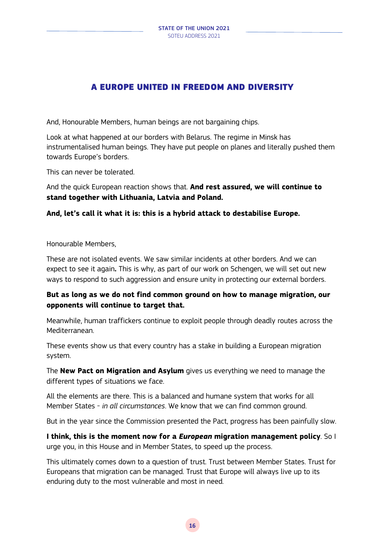# A EUROPE UNITED IN FREEDOM AND DIVERSITY

And, Honourable Members, human beings are not bargaining chips.

Look at what happened at our borders with Belarus. The regime in Minsk has instrumentalised human beings. They have put people on planes and literally pushed them towards Europe's borders.

This can never be tolerated.

And the quick European reaction shows that. **And rest assured, we will continue to stand together with Lithuania, Latvia and Poland.** 

## **And, let's call it what it is: this is a hybrid attack to destabilise Europe.**

Honourable Members,

These are not isolated events. We saw similar incidents at other borders. And we can expect to see it again**.** This is why, as part of our work on Schengen, we will set out new ways to respond to such aggression and ensure unity in protecting our external borders.

## **But as long as we do not find common ground on how to manage migration, our opponents will continue to target that.**

Meanwhile, human traffickers continue to exploit people through deadly routes across the Mediterranean.

These events show us that every country has a stake in building a European migration system.

The **New Pact on Migration and Asylum** gives us everything we need to manage the different types of situations we face.

All the elements are there. This is a balanced and humane system that works for all Member States - *in all circumstances*. We know that we can find common ground.

But in the year since the Commission presented the Pact, progress has been painfully slow.

**I think, this is the moment now for a** *European* **migration management policy**. So I urge you, in this House and in Member States, to speed up the process.

This ultimately comes down to a question of trust. Trust between Member States. Trust for Europeans that migration can be managed. Trust that Europe will always live up to its enduring duty to the most vulnerable and most in need.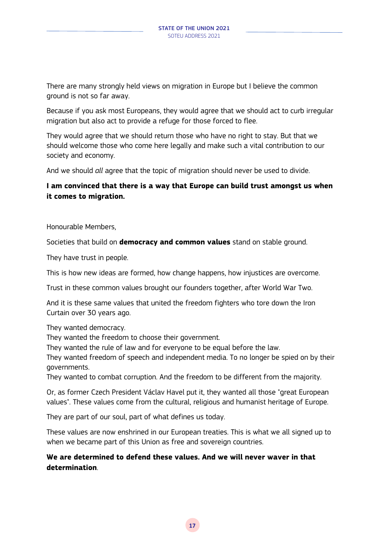There are many strongly held views on migration in Europe but I believe the common ground is not so far away.

Because if you ask most Europeans, they would agree that we should act to curb irregular migration but also act to provide a refuge for those forced to flee.

They would agree that we should return those who have no right to stay. But that we should welcome those who come here legally and make such a vital contribution to our society and economy.

And we should *all* agree that the topic of migration should never be used to divide.

## **I am convinced that there is a way that Europe can build trust amongst us when it comes to migration.**

Honourable Members,

Societies that build on **democracy and common values** stand on stable ground.

They have trust in people.

This is how new ideas are formed, how change happens, how injustices are overcome.

Trust in these common values brought our founders together, after World War Two.

And it is these same values that united the freedom fighters who tore down the Iron Curtain over 30 years ago.

They wanted democracy.

They wanted the freedom to choose their government.

They wanted the rule of law and for everyone to be equal before the law.

They wanted freedom of speech and independent media. To no longer be spied on by their governments.

They wanted to combat corruption. And the freedom to be different from the majority.

Or, as former Czech President Václav Havel put it, they wanted all those "great European values". These values come from the cultural, religious and humanist heritage of Europe.

They are part of our soul, part of what defines us today.

These values are now enshrined in our European treaties. This is what we all signed up to when we became part of this Union as free and sovereign countries.

## **We are determined to defend these values. And we will never waver in that determination**.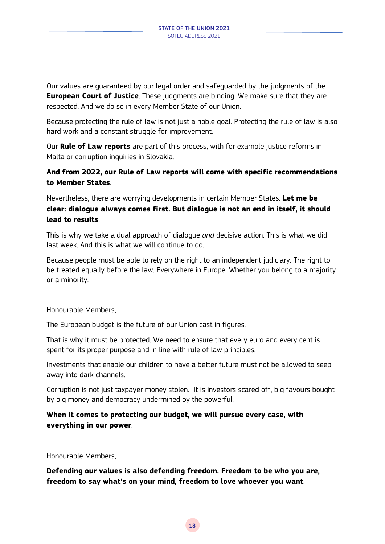Our values are guaranteed by our legal order and safeguarded by the judgments of the **European Court of Justice**. These judgments are binding. We make sure that they are respected. And we do so in every Member State of our Union.

Because protecting the rule of law is not just a noble goal. Protecting the rule of law is also hard work and a constant struggle for improvement.

Our **Rule of Law reports** are part of this process, with for example justice reforms in Malta or corruption inquiries in Slovakia.

## **And from 2022, our Rule of Law reports will come with specific recommendations to Member States**.

Nevertheless, there are worrying developments in certain Member States. **Let me be clear: dialogue always comes first. But dialogue is not an end in itself, it should lead to results**.

This is why we take a dual approach of dialogue *and* decisive action. This is what we did last week. And this is what we will continue to do.

Because people must be able to rely on the right to an independent judiciary. The right to be treated equally before the law. Everywhere in Europe. Whether you belong to a majority or a minority.

Honourable Members,

The European budget is the future of our Union cast in figures.

That is why it must be protected. We need to ensure that every euro and every cent is spent for its proper purpose and in line with rule of law principles.

Investments that enable our children to have a better future must not be allowed to seep away into dark channels.

Corruption is not just taxpayer money stolen. It is investors scared off, big favours bought by big money and democracy undermined by the powerful.

## **When it comes to protecting our budget, we will pursue every case, with everything in our power**.

Honourable Members,

**Defending our values is also defending freedom. Freedom to be who you are, freedom to say what's on your mind, freedom to love whoever you want**.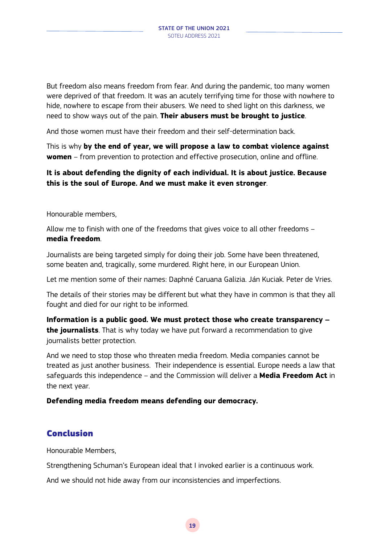But freedom also means freedom from fear. And during the pandemic, too many women were deprived of that freedom. It was an acutely terrifying time for those with nowhere to hide, nowhere to escape from their abusers. We need to shed light on this darkness, we need to show ways out of the pain. **Their abusers must be brought to justice**.

And those women must have their freedom and their self-determination back.

This is why **by the end of year, we will propose a law to combat violence against women** – from prevention to protection and effective prosecution, online and offline.

## **It is about defending the dignity of each individual. It is about justice. Because this is the soul of Europe. And we must make it even stronger**.

Honourable members,

Allow me to finish with one of the freedoms that gives voice to all other freedoms – **media freedom**.

Journalists are being targeted simply for doing their job. Some have been threatened, some beaten and, tragically, some murdered. Right here, in our European Union.

Let me mention some of their names: Daphné Caruana Galizia. Ján Kuciak. Peter de Vries.

The details of their stories may be different but what they have in common is that they all fought and died for our right to be informed.

**Information is a public good. We must protect those who create transparency – the journalists**. That is why today we have put forward a recommendation to give journalists better protection.

And we need to stop those who threaten media freedom. Media companies cannot be treated as just another business. Their independence is essential. Europe needs a law that safeguards this independence – and the Commission will deliver a **Media Freedom Act** in the next year.

## **Defending media freedom means defending our democracy.**

## Conclusion

Honourable Members,

Strengthening Schuman's European ideal that I invoked earlier is a continuous work.

And we should not hide away from our inconsistencies and imperfections.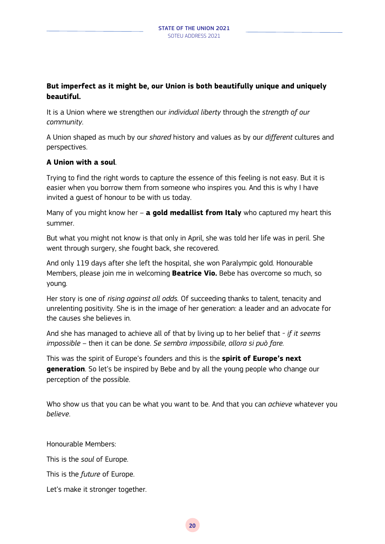## **But imperfect as it might be, our Union is both beautifully unique and uniquely beautiful.**

It is a Union where we strengthen our *individual liberty* through the *strength of our community*.

A Union shaped as much by our *shared* history and values as by our *different* cultures and perspectives.

## **A Union with a soul**.

Trying to find the right words to capture the essence of this feeling is not easy. But it is easier when you borrow them from someone who inspires you. And this is why I have invited a guest of honour to be with us today.

Many of you might know her – **a gold medallist from Italy** who captured my heart this summer.

But what you might not know is that only in April, she was told her life was in peril. She went through surgery, she fought back, she recovered.

And only 119 days after she left the hospital, she won Paralympic gold. Honourable Members, please join me in welcoming **Beatrice Vio.** Bebe has overcome so much, so young.

Her story is one of *rising against all odds.* Of succeeding thanks to talent, tenacity and unrelenting positivity. She is in the image of her generation: a leader and an advocate for the causes she believes in.

And she has managed to achieve all of that by living up to her belief that - *if it seems impossible* – then it can be done. *Se sembra impossibile, allora si può fare.*

This was the spirit of Europe's founders and this is the **spirit of Europe's next generation**. So let's be inspired by Bebe and by all the young people who change our perception of the possible.

Who show us that you can be what you want to be. And that you can *achieve* whatever you *believe*.

Honourable Members:

This is the *soul* of Europe.

This is the *future* of Europe.

Let's make it stronger together.